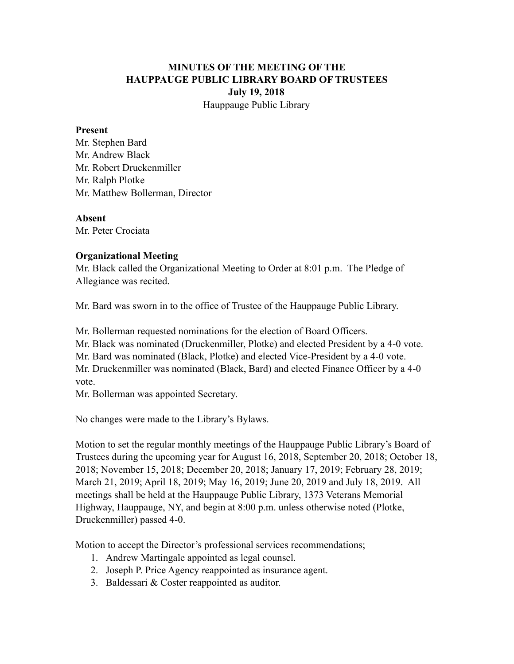## **MINUTES OF THE MEETING OF THE HAUPPAUGE PUBLIC LIBRARY BOARD OF TRUSTEES July 19, 2018** Hauppauge Public Library

#### **Present**

Mr. Stephen Bard Mr. Andrew Black Mr. Robert Druckenmiller Mr. Ralph Plotke Mr. Matthew Bollerman, Director

#### **Absent**

Mr. Peter Crociata

#### **Organizational Meeting**

Mr. Black called the Organizational Meeting to Order at 8:01 p.m. The Pledge of Allegiance was recited.

Mr. Bard was sworn in to the office of Trustee of the Hauppauge Public Library.

Mr. Bollerman requested nominations for the election of Board Officers.

Mr. Black was nominated (Druckenmiller, Plotke) and elected President by a 4-0 vote.

Mr. Bard was nominated (Black, Plotke) and elected Vice-President by a 4-0 vote.

Mr. Druckenmiller was nominated (Black, Bard) and elected Finance Officer by a 4-0 vote.

Mr. Bollerman was appointed Secretary.

No changes were made to the Library's Bylaws.

Motion to set the regular monthly meetings of the Hauppauge Public Library's Board of Trustees during the upcoming year for August 16, 2018, September 20, 2018; October 18, 2018; November 15, 2018; December 20, 2018; January 17, 2019; February 28, 2019; March 21, 2019; April 18, 2019; May 16, 2019; June 20, 2019 and July 18, 2019. All meetings shall be held at the Hauppauge Public Library, 1373 Veterans Memorial Highway, Hauppauge, NY, and begin at 8:00 p.m. unless otherwise noted (Plotke, Druckenmiller) passed 4-0.

Motion to accept the Director's professional services recommendations;

- 1. Andrew Martingale appointed as legal counsel.
- 2. Joseph P. Price Agency reappointed as insurance agent.
- 3. Baldessari & Coster reappointed as auditor.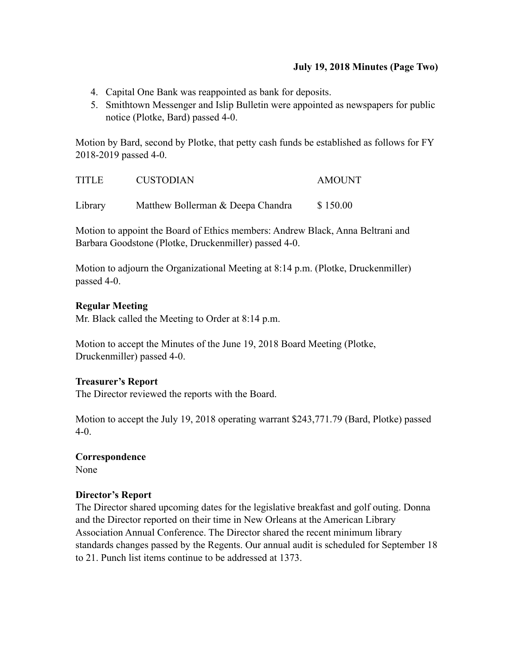## **July 19, 2018 Minutes (Page Two)**

- 4. Capital One Bank was reappointed as bank for deposits.
- 5. Smithtown Messenger and Islip Bulletin were appointed as newspapers for public notice (Plotke, Bard) passed 4-0.

Motion by Bard, second by Plotke, that petty cash funds be established as follows for FY 2018-2019 passed 4-0.

| <b>TITLE</b> | <b>CUSTODIAN</b>                  | <b>AMOUNT</b> |
|--------------|-----------------------------------|---------------|
| Library      | Matthew Bollerman & Deepa Chandra | \$150.00      |

Motion to appoint the Board of Ethics members: Andrew Black, Anna Beltrani and Barbara Goodstone (Plotke, Druckenmiller) passed 4-0.

Motion to adjourn the Organizational Meeting at 8:14 p.m. (Plotke, Druckenmiller) passed 4-0.

## **Regular Meeting**

Mr. Black called the Meeting to Order at 8:14 p.m.

Motion to accept the Minutes of the June 19, 2018 Board Meeting (Plotke, Druckenmiller) passed 4-0.

## **Treasurer's Report**

The Director reviewed the reports with the Board.

Motion to accept the July 19, 2018 operating warrant \$243,771.79 (Bard, Plotke) passed 4-0.

## **Correspondence**

None

## **Director's Report**

The Director shared upcoming dates for the legislative breakfast and golf outing. Donna and the Director reported on their time in New Orleans at the American Library Association Annual Conference. The Director shared the recent minimum library standards changes passed by the Regents. Our annual audit is scheduled for September 18 to 21. Punch list items continue to be addressed at 1373.